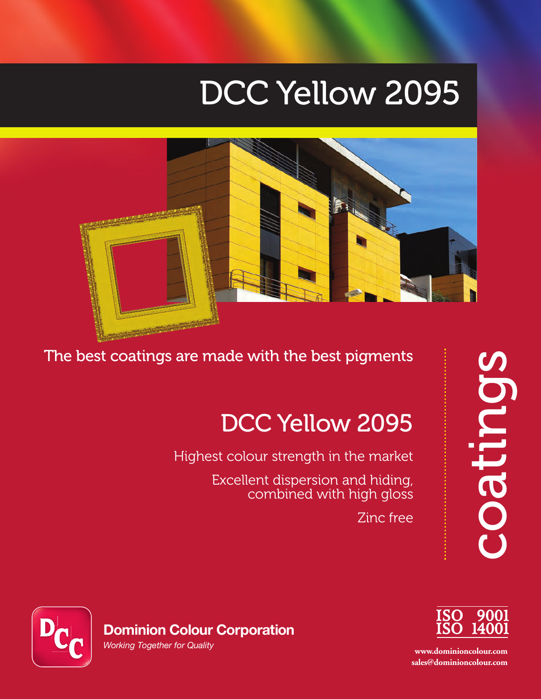# DCC Yellow 2095



The best coatings are made with the best pigments

## DCC Yellow 2095

Highest colour strength in the market

Excellent dispersion and hiding, combined with high gloss

Zinc free





**www.dominioncolour.com sales@dominioncolour.com**



**Dominion Colour Corporation**

*Working Together for Quality*